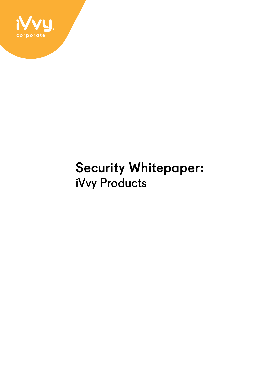

### Security Whitepaper: iVvy Products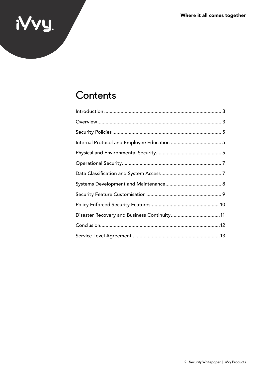# NVY.

### Contents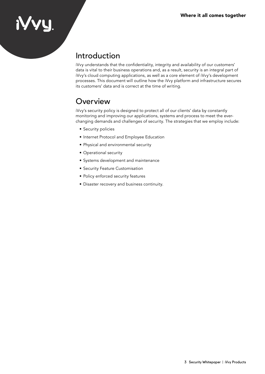### **IYVU**

### Introduction

iVvy understands that the confidentiality, integrity and availability of our customers' data is vital to their business operations and, as a result, security is an integral part of iVvy's cloud computing applications, as well as a core element of iVvy's development processes. This document will outline how the iVvy platform and infrastructure secures its customers' data and is correct at the time of writing.

### **Overview**

iVvy's security policy is designed to protect all of our clients' data by constantly monitoring and improving our applications, systems and process to meet the everchanging demands and challenges of security. The strategies that we employ include:

- Security policies
- Internet Protocol and Employee Education
- Physical and environmental security
- Operational security
- Systems development and maintenance
- Security Feature Customisation
- Policy enforced security features
- Disaster recovery and business continuity.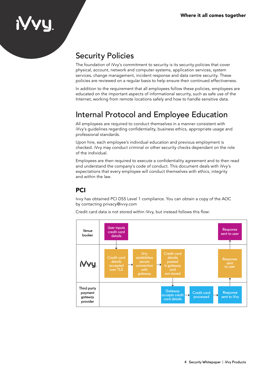### Security Policies

The foundation of iVvy's commitment to security is its security policies that cover physical, account, network and computer systems, application services, system services, change management, incident response and data centre security. These policies are reviewed on a regular basis to help ensure their continued effectiveness.

In addition to the requirement that all employees follow these policies, employees are educated on the important aspects of informational security, such as safe use of the Internet, working from remote locations safely and how to handle sensitive data.

### Internal Protocol and Employee Education

All employees are required to conduct themselves in a manner consistent with iVvy's guidelines regarding confidentiality, business ethics, appropriate usage and professional standards.

Upon hire, each employee's individual education and previous employment is checked. iVvy may conduct criminal or other security checks dependant on the role of the individual.

Employees are then required to execute a confidentiality agreement and to then read and understand the company's code of conduct. This document deals with iVvy's expectations that every employee will conduct themselves with ethics, integrity and within the law.

### **PCI**

Ivvy has obtained PCI DSS Level 1 compliance. You can obtain a copy of the AOC by contacting privacy@ivvy.com



Credit card data is not stored within iVvy, but instead follows this flow: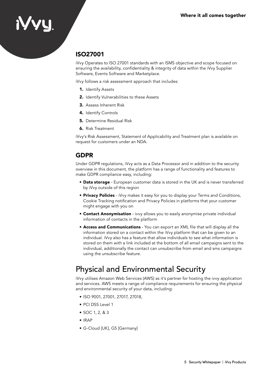### ISO27001

iVvy Operates to ISO 27001 standards with an ISMS objective and scope focused on ensuring the availability, confidentiality & integrity of data within the iVvy Supplier Software, Events Software and Marketplace.

iVvy follows a risk assessment approach that includes:

- 1. Identify Assets
- 2. Identify Vulnerabilities to these Assets
- 3. Assess Inherent Risk
- 4. Identify Controls
- 5. Determine Residual Risk
- 6. Risk Treatment

iVvy's Risk Assessment, Statement of Applicability and Treatment plan is available on request for customers under an NDA.

#### GDPR

Under GDPR regulations, iVvy acts as a Data Processor and in addition to the security overview in this document, the platform has a range of functionality and features to make GDPR compliance easy, including:

- **Data storage** European customer data is stored in the UK and is never transferred by iVvy outside of this region
- **Privacy Policies** iVvy makes it easy for you to display your Terms and Conditions, Cookie Tracking notification and Privacy Policies in platforms that your customer might engage with you on
- **Contact Anonymisation** ivvy allows you to easily anonymise private individual information of contacts in the platform
- Access and Communications You can export an XML file that will display all the information stored on a contact within the iVvy platform that can be given to an individual. iVvy also has a feature that allow individuals to see what information is stored on them with a link included at the bottom of all email campaigns sent to the individual, additionally the contact can unsubscribe from email and sms campaigns using the unsubscribe feature.

### Physical and Environmental Security

iVvy utilises Amazon Web Services (AWS) as it's partner for hosting the ivvy application and services. AWS meets a range of compliance requirements for ensuring the physical and environmental security of your data, including:

- ISO 9001, 27001, 27017, 27018,
- PCI DSS Level 1
- SOC 1, 2, & 3
- IRAP
- G-Cloud [UK], G5 [Germany]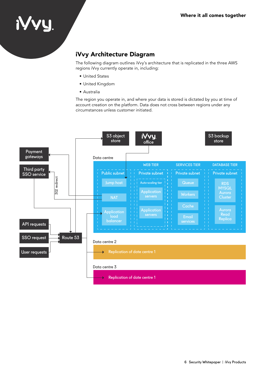### iVvy Architecture Diagram

The following diagram outlines iVvy's architecture that is replicated in the three AWS regions iVvy currently operate in, including:

- United States
- United Kingdom
- Australia

The region you operate in, and where your data is stored is dictated by you at time of account creation on the platform. Data does not cross between regions under any circumstances unless customer initiated.

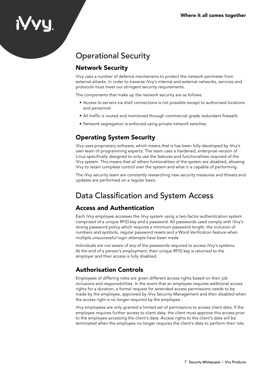### Operational Security

### Network Security

iVvy uses a number of defence mechanisms to protect the network perimeter from external attacks. In order to traverse iVvy's internal and external networks, services and protocols must meet our stringent security requirements.

The components that make up the network security are as follows:

- Access to servers via shell connections is not possible except to authorised locations and personnel
- All traffic is routed and monitored through commercial grade redundant firewalls
- Network segregation is enforced using private network switches.

### Operating System Security

iVvy uses proprietary software, which means that is has been fully developed by iVvy's own team of programming experts. The team uses a hardened, enterprise version of Linux specifically designed to only use the features and functionalities required of the iVvy system. This means that all others funtionalities of the system are disabled, allowing iVvy to retain complete control over the system and what it is capable of performing.

The iVvy security team are constantly researching new security measures and threats and updates are performed on a regular basis.

### Data Classification and System Access

### Access and Authentication

Each iVvy employee accesses the iVvy system using a two-factor authentication system comprised of a unique RFID key and a password. All passwords used comply with iVvy's strong password policy which requires a minimum password length, the inclusion of numbers and symbols, regular password resets and a Word Verification feature when multiple unsuccessful login attempts have been made

Individuals are not aware of any of the passwords required to access iVvy's systems. At the end of a person's employment, their unique RFID key is returned to the employer and their access is fully disabled.

### Authorisation Controls

Employees of differing roles are given different access rights based on their job inclusions and responsibilities. In the event that an employee requires additional access rights for a duration, a formal request for extended access permissions needs to be made by the employee, approved by iVvy Security Management and then disabled when the access right is no longer required by the employee.

iVvy employees are only granted a limited set of permissions to access client data. If the employee requires further access to client data, the client must approve this access prior to the employee accessing the client's data. Access rights to the client's data will be terminated when the employee no longer requires the client's data to perform their role.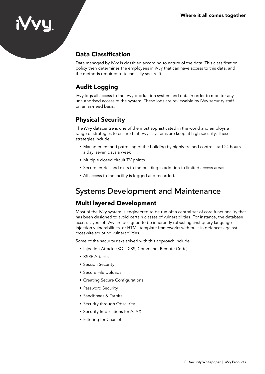### **IVVY**

### Data Classification

Data managed by iVvy is classified according to nature of the data. This classification policy then determines the employees in iVvy that can have access to this data, and the methods required to technically secure it.

### Audit Logging

iVvy logs all access to the iVvy production system and data in order to monitor any unauthorised access of the system. These logs are reviewable by iVvy security staff on an as-need basis.

### Physical Security

The iVvy datacentre is one of the most sophisticated in the world and employs a range of strategies to ensure that iVvy's systems are keep at high security. These strategies include:

- Management and patrolling of the building by highly trained control staff 24 hours a day, seven days a week
- Multiple closed circuit TV points
- Secure entries and exits to the building in addition to limited access areas
- All access to the facility is logged and recorded.

### Systems Development and Maintenance

### Multi layered Development

Most of the iVvy system is engineered to be run off a central set of core functionality that has been designed to avoid certain classes of vulnerabilities. For instance, the database access layers of iVvy are designed to be inherently robust against query language injection vulnerabilities, or HTML template frameworks with built-in defences against cross-site scripting vulnerabilities.

Some of the security risks solved with this approach include;

- Injection Attacks (SQL, XSS, Command, Remote Code)
- XSRF Attacks
- Session Security
- Secure File Uploads
- Creating Secure Configurations
- Password Security
- Sandboxes & Tarpits
- Security through Obscurity
- Security Implications for AJAX
- Filtering for Charsets.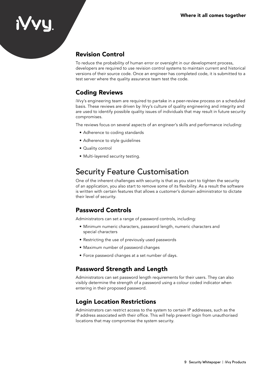### **IVVU**

### Revision Control

To reduce the probability of human error or oversight in our development process, developers are required to use revision control systems to maintain current and historical versions of their source code. Once an engineer has completed code, it is submitted to a test server where the quality assurance team test the code.

### Coding Reviews

iVvy's engineering team are required to partake in a peer-review process on a scheduled basis. These reviews are driven by iVvy's culture of quality engineering and integrity and are used to identify possible quality issues of individuals that may result in future security compromises.

The reviews focus on several aspects of an engineer's skills and performance including:

- Adherence to coding standards
- Adherence to style guidelines
- Quality control
- Multi-layered security testing.

### Security Feature Customisation

One of the inherent challenges with security is that as you start to tighten the security of an application, you also start to remove some of its flexibility. As a result the software is written with certain features that allows a customer's domain administrator to dictate their level of security.

### Password Controls

Administrators can set a range of password controls, including:

- Minimum numeric characters, password length, numeric characters and special characters
- Restricting the use of previously used passwords
- Maximum number of password changes
- Force password changes at a set number of days.

### Password Strength and Length

Administrators can set password length requirements for their users. They can also visibly determine the strength of a password using a colour coded indicator when entering in their proposed password.

### Login Location Restrictions

Administrators can restrict access to the system to certain IP addresses, such as the IP address associated with their office. This will help prevent login from unauthorised locations that may compromise the system security.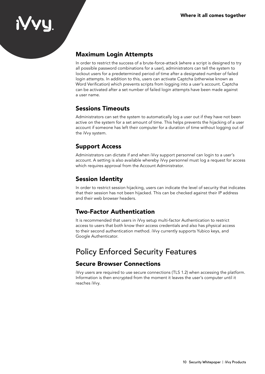### Maximum Login Attempts

**IVVY** 

In order to restrict the success of a brute-force-attack (where a script is designed to try all possible password combinations for a user), administrators can tell the system to lockout users for a predetermined period of time after a designated number of failed login attempts. In addition to this, users can activate Captcha (otherwise known as Word Verification) which prevents scripts from logging into a user's account. Captcha can be activated after a set number of failed login attempts have been made against a user name.

#### Sessions Timeouts

Administrators can set the system to automatically log a user out if they have not been active on the system for a set amount of time. This helps prevents the hijacking of a user account if someone has left their computer for a duration of time without logging out of the iVvy system.

#### Support Access

Administrators can dictate if and when iVvy support personnel can login to a user's account. A setting is also available whereby iVvy personnel must log a request for access which requires approval from the Account Administrator.

### Session Identity

In order to restrict session hijacking, users can indicate the level of security that indicates that their session has not been hijacked. This can be checked against their IP address and their web browser headers.

#### Two-Factor Authentication

It is recommended that users in iVvy setup multi-factor Authentication to restrict access to users that both know their access credentials and also has physical access to their second authentication method. iVvy currently supports Yubico keys, and Google Authenticator.

### Policy Enforced Security Features

#### Secure Browser Connections

iVvy users are required to use secure connections (TLS 1.2) when accessing the platform. Information is then encrypted from the moment it leaves the user's computer until it reaches iVvy.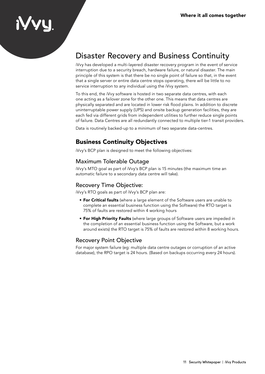### **IVVY**

### Disaster Recovery and Business Continuity

iVvy has developed a multi-layered disaster recovery program in the event of service interruption due to a security breach, hardware failure, or natural disaster. The main principle of this system is that there be no single point of failure so that, in the event that a single server or entire data centre stops operating, there will be little to no service interruption to any individual using the iVvy system.

To this end, the iVvy software is hosted in two separate data centres, with each one acting as a failover zone for the other one. This means that data centres are physically separated and are located in lower risk flood plains. In addition to discrete uninterruptable power supply (UPS) and onsite backup generation facilities, they are each fed via different grids from independent utilities to further reduce single points of failure. Data Centres are all redundantly connected to multiple tier-1 transit providers.

Data is routinely backed-up to a minimum of two separate data-centres.

### Business Continuity Objectives

iVvy's BCP plan is designed to meet the following objectives:

#### Maximum Tolerable Outage

iVvy's MTO goal as part of iVvy's BCP plan is 15 minutes (the maximum time an automatic failure to a secondary data centre will take).

#### Recovery Time Objective:

iVvy's RTO goals as part of iVvy's BCP plan are:

- **For Critical faults** (where a large element of the Software users are unable to complete an essential business function using the Software) the RTO target is 75% of faults are restored within 4 working hours
- **For High Priority Faults** (where large groups of Software users are impeded in the completion of an essential business function using the Software, but a work around exists) the RTO target is 75% of faults are restored within 8 working hours.

#### Recovery Point Objective

For major system failure (eg: multiple data centre outages or corruption of an active database), the RPO target is 24 hours. (Based on backups occurring every 24 hours).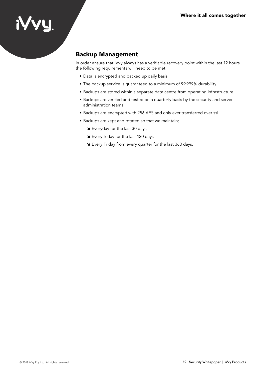# iyyy.

### Backup Management

In order ensure that iVvy always has a verifiable recovery point within the last 12 hours the following requirements will need to be met:

- Data is encrypted and backed up daily basis
- The backup service is guaranteed to a minimum of 99.999% durability
- Backups are stored within a separate data centre from operating infrastructure
- Backups are verified and tested on a quarterly basis by the security and server administration teams
- Backups are encrypted with 256 AES and only ever transferred over ssl
- Backups are kept and rotated so that we maintain;
	- Su Everyday for the last 30 days
	- Su Every friday for the last 120 days
	- Sign Every Friday from every quarter for the last 360 days.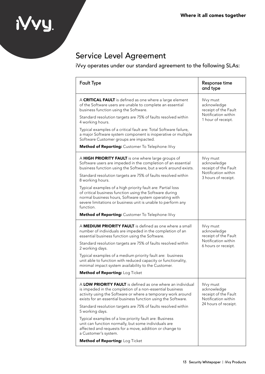### Service Level Agreement

iyyy.

iVvy operates under our standard agreement to the following SLAs:

| <b>Fault Type</b>                                                                                                                                                                                                                                            | Response time<br>and type                                                                       |
|--------------------------------------------------------------------------------------------------------------------------------------------------------------------------------------------------------------------------------------------------------------|-------------------------------------------------------------------------------------------------|
| A CRITICAL FAULT is defined as one where a large element<br>of the Software users are unable to complete an essential<br>business function using the Software.                                                                                               | IVvy must<br>acknowledge<br>receipt of the Fault<br>Notification within<br>1 hour of receipt.   |
| Standard resolution targets are 75% of faults resolved within<br>4 working hours.                                                                                                                                                                            |                                                                                                 |
| Typical examples of a critical fault are: Total Software failure,<br>a major Software system component is inoperative or multiple<br>Software Customer groups are impacted.                                                                                  |                                                                                                 |
| Method of Reporting: Customer To Telephone iVvy                                                                                                                                                                                                              |                                                                                                 |
| A HIGH PRIORITY FAULT is one where large groups of<br>Software users are impeded in the completion of an essential<br>business function using the Software, but a work around exists.                                                                        | IVvy must<br>acknowledge<br>receipt of the Fault<br>Notification within<br>3 hours of receipt.  |
| Standard resolution targets are 75% of faults resolved within<br>8 working hours.                                                                                                                                                                            |                                                                                                 |
| Typical examples of a high priority fault are: Partial loss<br>of critical business function using the Software during<br>normal business hours, Software system operating with<br>severe limitations or business unit is unable to perform any<br>function. |                                                                                                 |
| Method of Reporting: Customer To Telephone iVvy                                                                                                                                                                                                              |                                                                                                 |
| A MEDIUM PRIORITY FAULT is defined as one where a small<br>number of individuals are impeded in the completion of an<br>essential business function using the Software.                                                                                      | IVvy must<br>acknowledge<br>receipt of the Fault<br>Notification within<br>6 hours or receipt.  |
| Standard resolution targets are 75% of faults resolved within<br>2 working days.                                                                                                                                                                             |                                                                                                 |
| Typical examples of a medium priority fault are: business<br>unit able to function with reduced capacity or functionality,<br>minimal impact system availability to the Customer.                                                                            |                                                                                                 |
| Method of Reporting: Log Ticket                                                                                                                                                                                                                              |                                                                                                 |
| A LOW PRIORITY FAULT is defined as one where an individual<br>is impeded in the completion of a non-essential business<br>activity using the Software or where a temporary work around<br>exists for an essential business function using the Software.      | IVvy must<br>acknowledge<br>receipt of the Fault<br>Notification within<br>24 hours of receipt. |
| Standard resolution targets are 75% of faults resolved within<br>5 working days.                                                                                                                                                                             |                                                                                                 |
| Typical examples of a low priority fault are: Business<br>unit can function normally, but some individuals are<br>affected and requests for a move, addition or change to<br>a Customer's system.                                                            |                                                                                                 |
| Method of Reporting: Log Ticket                                                                                                                                                                                                                              |                                                                                                 |